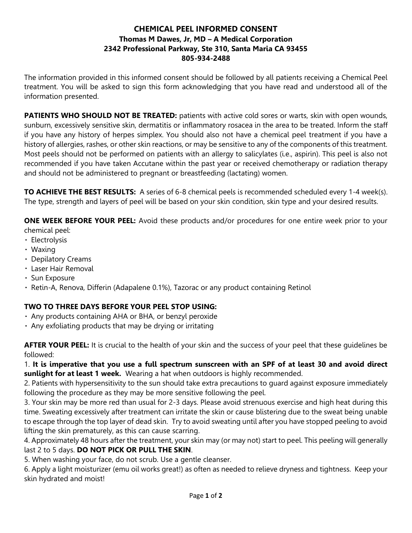## **CHEMICAL PEEL INFORMED CONSENT Thomas M Dawes, Jr, MD – A Medical Corporation 2342 Professional Parkway, Ste 310, Santa Maria CA 93455 805-934-2488**

The information provided in this informed consent should be followed by all patients receiving a Chemical Peel treatment. You will be asked to sign this form acknowledging that you have read and understood all of the information presented.

**PATIENTS WHO SHOULD NOT BE TREATED:** patients with active cold sores or warts, skin with open wounds, sunburn, excessively sensitive skin, dermatitis or inflammatory rosacea in the area to be treated. Inform the staff if you have any history of herpes simplex. You should also not have a chemical peel treatment if you have a history of allergies, rashes, or other skin reactions, or may be sensitive to any of the components of this treatment. Most peels should not be performed on patients with an allergy to salicylates (i.e., aspirin). This peel is also not recommended if you have taken Accutane within the past year or received chemotherapy or radiation therapy and should not be administered to pregnant or breastfeeding (lactating) women.

**TO ACHIEVE THE BEST RESULTS:** A series of 6-8 chemical peels is recommended scheduled every 1-4 week(s). The type, strength and layers of peel will be based on your skin condition, skin type and your desired results.

**ONE WEEK BEFORE YOUR PEEL:** Avoid these products and/or procedures for one entire week prior to your chemical peel:

- Electrolysis
- Waxing
- Depilatory Creams
- Laser Hair Removal
- · Sun Exposure
- Retin-A, Renova, Differin (Adapalene 0.1%), Tazorac or any product containing Retinol

## **TWO TO THREE DAYS BEFORE YOUR PEEL STOP USING:**

- Any products containing AHA or BHA, or benzyl peroxide
- $\cdot$  Any exfoliating products that may be drying or irritating

**AFTER YOUR PEEL:** It is crucial to the health of your skin and the success of your peel that these guidelines be followed:

1. **It is imperative that you use a full spectrum sunscreen with an SPF of at least 30 and avoid direct sunlight for at least 1 week.** Wearing a hat when outdoors is highly recommended.

2. Patients with hypersensitivity to the sun should take extra precautions to guard against exposure immediately following the procedure as they may be more sensitive following the peel.

3. Your skin may be more red than usual for 2-3 days. Please avoid strenuous exercise and high heat during this time. Sweating excessively after treatment can irritate the skin or cause blistering due to the sweat being unable to escape through the top layer of dead skin. Try to avoid sweating until after you have stopped peeling to avoid lifting the skin prematurely, as this can cause scarring.

4. Approximately 48 hours after the treatment, your skin may (or may not) start to peel. This peeling will generally last 2 to 5 days. **DO NOT PICK OR PULL THE SKIN**.

5. When washing your face, do not scrub. Use a gentle cleanser.

6. Apply a light moisturizer (emu oil works great!) as often as needed to relieve dryness and tightness. Keep your skin hydrated and moist!